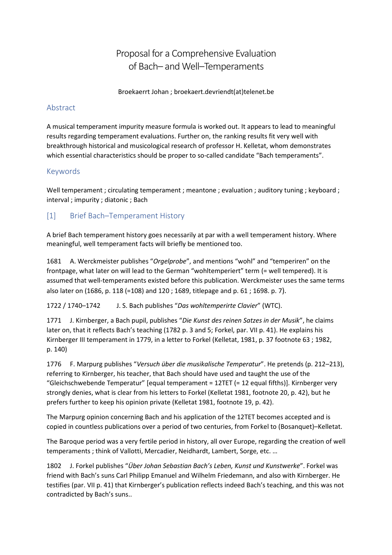# Proposal for a Comprehensive Evaluation of Bach– and Well–Temperaments

Broekaerrt Johan ; broekaert.devriendt(at)telenet.be

## Abstract

A musical temperament impurity measure formula is worked out. It appears to lead to meaningful results regarding temperament evaluations. Further on, the ranking results fit very well with breakthrough historical and musicological research of professor H. Kelletat, whom demonstrates which essential characteristics should be proper to so-called candidate "Bach temperaments".

## Keywords

Well temperament ; circulating temperament ; meantone ; evaluation ; auditory tuning ; keyboard ; interval ; impurity ; diatonic ; Bach

# [1] Brief Bach–Temperament History

A brief Bach temperament history goes necessarily at par with a well temperament history. Where meaningful, well temperament facts will briefly be mentioned too.

1681 A. Werckmeister publishes "*Orgelprobe*", and mentions "wohl" and "temperiren" on the frontpage, what later on will lead to the German "wohltemperiert" term (= well tempered). It is assumed that well-temperaments existed before this publication. Werckmeister uses the same terms also later on (1686, p. 118 (=108) and 120 ; 1689, titlepage and p. 61 ; 1698. p. 7).

1722 / 1740–1742 J. S. Bach publishes "*Das wohltemperirte Clavier*" (WTC).

1771 J. Kirnberger, a Bach pupil, publishes "*Die Kunst des reinen Satzes in der Musik*", he claims later on, that it reflects Bach's teaching (1782 p. 3 and 5; Forkel, par. VII p. 41). He explains his Kirnberger III temperament in 1779, in a letter to Forkel (Kelletat, 1981, p. 37 footnote 63 ; 1982, p. 140)

1776 F. Marpurg publishes "*Versuch über die musikalische Temperatur*". He pretends (p. 212–213), referring to Kirnberger, his teacher, that Bach should have used and taught the use of the "Gleichschwebende Temperatur" [equal temperament = 12TET (= 12 equal fifths)]. Kirnberger very strongly denies, what is clear from his letters to Forkel (Kelletat 1981, footnote 20, p. 42), but he prefers further to keep his opinion private (Kelletat 1981, footnote 19, p. 42).

The Marpurg opinion concerning Bach and his application of the 12TET becomes accepted and is copied in countless publications over a period of two centuries, from Forkel to (Bosanquet)–Kelletat.

The Baroque period was a very fertile period in history, all over Europe, regarding the creation of well temperaments ; think of Vallotti, Mercadier, Neidhardt, Lambert, Sorge, etc. …

1802 J. Forkel publishes "*Über Johan Sebastian Bach's Leben, Kunst und Kunstwerke*". Forkel was friend with Bach's suns Carl Philipp Emanuel and Wilhelm Friedemann, and also with Kirnberger. He testifies (par. VII p. 41) that Kirnberger's publication reflects indeed Bach's teaching, and this was not contradicted by Bach's suns..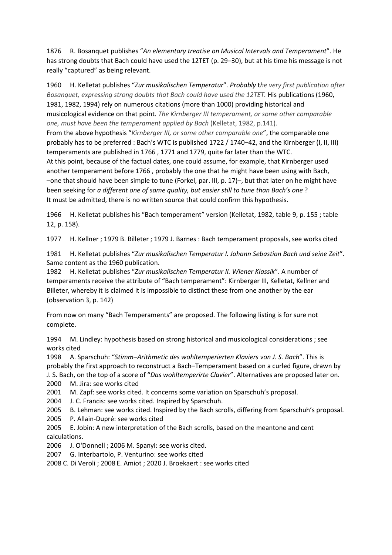1876 R. Bosanquet publishes "*An elementary treatise on Musical Intervals and Temperament*". He has strong doubts that Bach could have used the 12TET (p. 29-30), but at his time his message is not really "captured" as being relevant.

1960 H. Kelletat publishes "*Zur musikalischen Temperatur*". *Probably* t*he very first publication after Bosanquet, expressing strong doubts that Bach could have used the 12TET.* His publications (1960, 1981, 1982, 1994) rely on numerous citations (more than 1000) providing historical and musicological evidence on that point. *The Kirnberger III temperament, or some other comparable one, must have been the temperament applied by Bach* (Kelletat, 1982, p.141). From the above hypothesis "*Kirnberger III, or some other comparable one*", the comparable one probably has to be preferred : Bach's WTC is published 1722 / 1740–42, and the Kirnberger (I, II, III) temperaments are published in 1766 , 1771 and 1779, quite far later than the WTC. At this point, because of the factual dates, one could assume, for example, that Kirnberger used another temperament before 1766 , probably the one that he might have been using with Bach, –one that should have been simple to tune (Forkel, par. III, p. 17)–, but that later on he might have been seeking for *a different one of same quality, but easier still to tune than Bach's one* ? It must be admitted, there is no written source that could confirm this hypothesis.

1966 H. Kelletat publishes his "Bach temperament" version (Kelletat, 1982, table 9, p. 155 ; table 12, p. 158).

1977 H. Kellner ; 1979 B. Billeter ; 1979 J. Barnes : Bach temperament proposals, see works cited

1981 H. Kelletat publishes "*Zur musikalischen Temperatur I. Johann Sebastian Bach und seine Zeit*". Same content as the 1960 publication.

1982 H. Kelletat publishes "*Zur musikalischen Temperatur II. Wiener Klassik*". A number of temperaments receive the attribute of "Bach temperament": Kirnberger III, Kelletat, Kellner and Billeter, whereby it is claimed it is impossible to distinct these from one another by the ear (observation 3, p. 142)

From now on many "Bach Temperaments" are proposed. The following listing is for sure not complete.

1994 M. Lindley: hypothesis based on strong historical and musicological considerations ; see works cited

1998 A. Sparschuh: "*Stimm–Arithmetic des wohltemperierten Klaviers von J. S. Bach*". This is probably the first approach to reconstruct a Bach–Temperament based on a curled figure, drawn by J. S. Bach, on the top of a score of "*Das wohltemperirte Clavier*". Alternatives are proposed later on.

2000 M. Jira: see works cited

2001 M. Zapf: see works cited. It concerns some variation on Sparschuh's proposal.

2004 J. C. Francis: see works cited. Inspired by Sparschuh.

2005 B. Lehman: see works cited. Inspired by the Bach scrolls, differing from Sparschuh's proposal.

2005 P. Allain-Dupré: see works cited

2005 E. Jobin: A new interpretation of the Bach scrolls, based on the meantone and cent calculations.

2006 J. O'Donnell ; 2006 M. Spanyi: see works cited.

2007 G. Interbartolo, P. Venturino: see works cited

2008 C. Di Veroli ; 2008 E. Amiot ; 2020 J. Broekaert : see works cited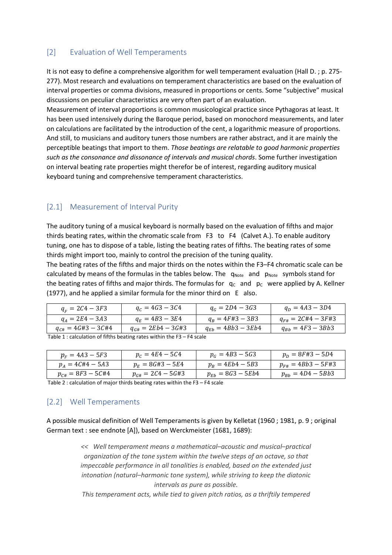## [2] Evaluation of Well Temperaments

It is not easy to define a comprehensive algorithm for well temperament evaluation (Hall D. ; p. 275- 277). Most research and evaluations on temperament characteristics are based on the evaluation of interval properties or comma divisions, measured in proportions or cents. Some "subjective" musical discussions on peculiar characteristics are very often part of an evaluation.

Measurement of interval proportions is common musicological practice since Pythagoras at least. It has been used intensively during the Baroque period, based on monochord measurements, and later on calculations are facilitated by the introduction of the cent, a logarithmic measure of proportions. And still, to musicians and auditory tuners those numbers are rather abstract, and it are mainly the perceptible beatings that import to them. *Those beatings are relatable to good harmonic properties such as the consonance and dissonance of intervals and musical chords*. Some further investigation on interval beating rate properties might therefor be of interest, regarding auditory musical keyboard tuning and comprehensive temperament characteristics.

### [2.1] Measurement of Interval Purity

The auditory tuning of a musical keyboard is normally based on the evaluation of fifths and major thirds beating rates, within the chromatic scale from F3 to F4 (Calvet A.). To enable auditory tuning, one has to dispose of a table, listing the beating rates of fifths. The beating rates of some thirds might import too, mainly to control the precision of the tuning quality.

The beating rates of the fifths and major thirds on the notes within the F3–F4 chromatic scale can be calculated by means of the formulas in the tables below. The  $q_{Note}$  and  $p_{Note}$  symbols stand for the beating rates of fifths and major thirds. The formulas for  $q_c$  and  $p_c$  were applied by A. Kellner (1977), and he applied a similar formula for the minor third on E also.

| $q_{r} = 2C4 - 3F3$       | $q_c = 4G3 - 3C4$                                                        | $q_c = 2D4 - 3G3$     | $q_D = 4A3 - 3D4$      |  |  |  |  |  |  |
|---------------------------|--------------------------------------------------------------------------|-----------------------|------------------------|--|--|--|--|--|--|
| $q_A = 2E_4 - 3A_3$       | $q_E = 4B3 - 3E4$                                                        | $q_B = 4F#3 - 3B3$    | $q_{F#} = 2C#4 - 3F#3$ |  |  |  |  |  |  |
| $q_{C\#} = 4G\#3 - 3C\#4$ | $q_{G#} = 2Eb4 - 3G#3$                                                   | $q_{E} = 4Bb3 - 3Eb4$ | $q_{Bb} = 4F3 - 3Bb3$  |  |  |  |  |  |  |
|                           | Table 1 : calculation of fifths beating rates within the $F3 - F4$ scale |                       |                        |  |  |  |  |  |  |

| $p_F = 4A3 - 5F3$       | $p_C = 4E4 - 5C4$     | $p_G = 4B3 - 5G3$    | $p_D = 8F#3 - 5D4$     |
|-------------------------|-----------------------|----------------------|------------------------|
| $p_A = 4C#4 - 5A3$      | $p_E = 8G#3 - 5E4$    | $p_R = 4Eb4 - 5B3$   | $p_{F#} = 4Bb3 - 5F#3$ |
| $p_{c\#} = 8F3 - 5C\#4$ | $p_{G#} = 2C4 - 5G#3$ | $p_{E} = 8G3 - 5Eb4$ | $p_{Bb} = 4D4 - 5Bb3$  |

Table 2 : calculation of major thirds beating rates within the F3 – F4 scale

### [2.2] Well Temperaments

A possible musical definition of Well Temperaments is given by Kelletat (1960 ; 1981, p. 9 ; original German text : see endnote [A]), based on Werckmeister (1681, 1689):

> *<< Well temperament means a mathematical–acoustic and musical–practical organization of the tone system within the twelve steps of an octave, so that impeccable performance in all tonalities is enabled, based on the extended just intonation (natural–harmonic tone system), while striving to keep the diatonic intervals as pure as possible.*

> *This temperament acts, while tied to given pitch ratios, as a thriftily tempered*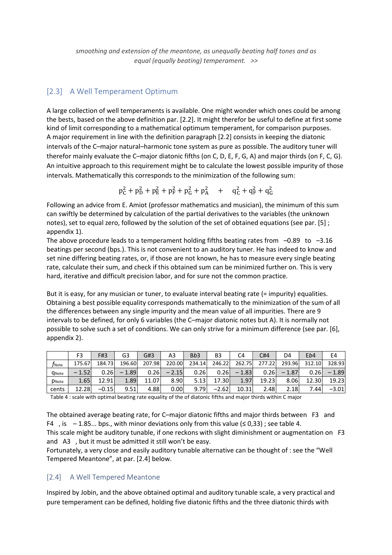*smoothing and extension of the meantone, as unequally beating half tones and as equal (equally beating) temperament. >>* 

### [2.3] A Well Temperament Optimum

A large collection of well temperaments is available. One might wonder which ones could be among the bests, based on the above definition par. [2.2]. It might therefor be useful to define at first some kind of limit corresponding to a mathematical optimum temperament, for comparison purposes. A major requirement in line with the definition paragraph [2.2] consists in keeping the diatonic intervals of the C–major natural–harmonic tone system as pure as possible. The auditory tuner will therefor mainly evaluate the C–major diatonic fifths (on C, D, E, F, G, A) and major thirds (on F, C, G). An intuitive approach to this requirement might be to calculate the lowest possible impurity of those intervals. Mathematically this corresponds to the minimization of the following sum:

$$
p_C^2 + p_D^2 + p_E^2 + p_F^2 + p_G^2 + p_A^2 + q_C^2 + q_F^2 + q_G^2
$$

Following an advice from E. Amiot (professor mathematics and musician), the minimum of this sum can swiftly be determined by calculation of the partial derivatives to the variables (the unknown notes), set to equal zero, followed by the solution of the set of obtained equations (see par. [5] ; appendix 1).

The above procedure leads to a temperament holding fifths beating rates from  $-0.89$  to  $-3.16$ beatings per second (bps.). This is not convenient to an auditory tuner. He has indeed to know and set nine differing beating rates, or, if those are not known, he has to measure every single beating rate, calculate their sum, and check if this obtained sum can be minimized further on. This is very hard, iterative and difficult precision labor, and for sure not the common practice.

But it is easy, for any musician or tuner, to evaluate interval beating rate (= impurity) equalities. Obtaining a best possible equality corresponds mathematically to the minimization of the sum of all the differences between any single impurity and the mean value of all impurities. There are 9 intervals to be defined, for only 6 variables (the C–major diatonic notes but A). It is normally not possible to solve such a set of conditions. We can only strive for a minimum difference (see par. [6], appendix 2).

|                   | F3      | F#3     | G3      | G#3    | A3      | B <sub>b</sub> 3 | B <sub>3</sub> | C4      | C#4    | D4      | Eb4    | E4      |
|-------------------|---------|---------|---------|--------|---------|------------------|----------------|---------|--------|---------|--------|---------|
| $f_{\text{Note}}$ | 175.67  | 184.73  | 196.60  | 207.98 | 220.00  | 234.14           | 246.22         | 262.75  | 277.22 | 293.96  | 312.10 | 328.93  |
| <b>Q</b> Note     | $-1.52$ | 0.26    | $-1.89$ | 0.26   | $-2.15$ | 0.26             | 0.26           | $-1.83$ | 0.26   | $-1.87$ | 0.26   | $-1.89$ |
| <b>D</b> Note     | 1.65    | 12.91   | 1.89    | 11.07  | 8.90    | 5.13             | 17.30l         | 1.97    | 19.23  | 8.06    | 12.30  | 19.23   |
| cents             | 12.28   | $-0.15$ | 9.51    | 4.88   | 0.00    | 9.79             | $-2.62$        | 10.31   | 2.48   | 2.18    | 7.44   | $-3.01$ |

Table 4 : scale with optimal beating rate equality of the of diatonic fifths and major thirds within C major

The obtained average beating rate, for C–major diatonic fifths and major thirds between F3 and F4 , is  $-1.85...$  bps., with minor deviations only from this value ( $\leq 0.33$ ); see table 4.

This scale might be auditory tunable, if one reckons with slight diminishment or augmentation on F3 and A3 , but it must be admitted it still won't be easy.

Fortunately, a very close and easily auditory tunable alternative can be thought of : see the "Well Tempered Meantone", at par. [2.4] below.

#### [2.4] A Well Tempered Meantone

Inspired by Jobin, and the above obtained optimal and auditory tunable scale, a very practical and pure temperament can be defined, holding five diatonic fifths and the three diatonic thirds with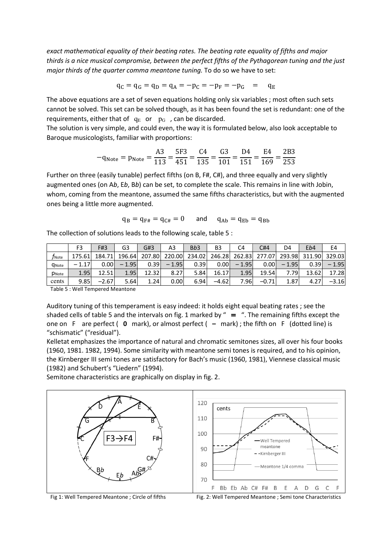*exact mathematical equality of their beating rates. The beating rate equality of fifths and major thirds is a nice musical compromise, between the perfect fifths of the Pythagorean tuning and the just major thirds of the quarter comma meantone tuning.* To do so we have to set:

$$
q_C = q_G = q_D = q_A = -p_C = -p_F = -p_G = q_E
$$

The above equations are a set of seven equations holding only six variables ; most often such sets cannot be solved. This set can be solved though, as it has been found the set is redundant: one of the requirements, either that of  $q_E$  or  $p_G$ , can be discarded.

The solution is very simple, and could even, the way it is formulated below, also look acceptable to Baroque musicologists, familiar with proportions:

$$
-q_{\text{Note}} = p_{\text{Note}} = \frac{A3}{113} = \frac{5F3}{451} = \frac{C4}{135} = \frac{G3}{101} = \frac{D4}{151} = \frac{E4}{169} = \frac{2B3}{253}
$$

Further on three (easily tunable) perfect fifths (on B, F#, C#), and three equally and very slightly augmented ones (on A*b*, E*b*, B*b*) can be set, to complete the scale. This remains in line with Jobin, whom, coming from the meantone, assumed the same fifths characteristics, but with the augmented ones being a little more augmented.

$$
q_B = q_{F\#} = q_{C\#} = 0 \qquad \text{and} \qquad q_{Ab} = q_{Eb} = q_{Bb}
$$

The collection of solutions leads to the following scale, table 5 :

|                | F3     | F#3     | G3      | G#3    | A3      | B <sub>b</sub> 3 | B3      | C4      | C#4     | D4      | Eb4    | E4      |
|----------------|--------|---------|---------|--------|---------|------------------|---------|---------|---------|---------|--------|---------|
| $f_{\rm Note}$ | 175.61 | 184.71  | 196.64  | 207.80 | 220.00  | 234.02           | 246.28  | 262.83  | 277.07  | 293.98  | 311.90 | 329.03  |
| <b>Q</b> Note  | 1.17   | 0.001   | $-1.95$ | 0.39   | $-1.95$ | 0.39             | 0.00    | $-1.95$ | 0.00    | $-1.95$ | 0.391  | $-1.95$ |
| PNote          | 1.95   | 12.51   | 1.95    | 12.32  | 8.27    | 5.84             | 16.17   | 1.95    | 19.54   | .79     | 13.62  | 17.28   |
| cents          | 9.85   | $-2.67$ | 5.64    | 1.24   | 0.00    | 6.94             | $-4.62$ | 7.96    | $-0.71$ | 1.87    |        | $-3.16$ |

Table 5 : Well Tempered Meantone

Auditory tuning of this temperament is easy indeed: it holds eight equal beating rates ; see the shaded cells of table 5 and the intervals on fig. 1 marked by " $=$  ". The remaining fifths except the one on F are perfect ( **0** mark), or almost perfect ( **–** mark) ; the fifth on F (dotted line) is "schismatic" ("residual").

Kelletat emphasizes the importance of natural and chromatic semitones sizes, all over his four books (1960, 1981. 1982, 1994). Some similarity with meantone semi tones is required, and to his opinion, the Kirnberger III semi tones are satisfactory for Bach's music (1960, 1981), Viennese classical music (1982) and Schubert's "Liedern" (1994).

Semitone characteristics are graphically on display in fig. 2.



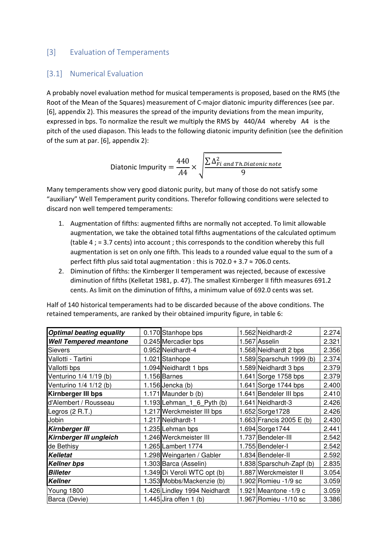### [3] Evaluation of Temperaments

#### [3.1] Numerical Evaluation

A probably novel evaluation method for musical temperaments is proposed, based on the RMS (the Root of the Mean of the Squares) measurement of C-major diatonic impurity differences (see par. [6], appendix 2). This measures the spread of the impurity deviations from the mean impurity, expressed in bps. To normalize the result we multiply the RMS by 440/A4 whereby A4 is the pitch of the used diapason. This leads to the following diatonic impurity definition (see the definition of the sum at par. [6], appendix 2):

Diatonic Importity =

\n
$$
\frac{440}{A4} \times \sqrt{\frac{\sum \Delta_{Fi\ and\ Th\. \nDiatonic\ note}}{9}}
$$

Many temperaments show very good diatonic purity, but many of those do not satisfy some "auxiliary" Well Temperament purity conditions. Therefor following conditions were selected to discard non well tempered temperaments:

- 1. Augmentation of fifths: augmented fifths are normally not accepted. To limit allowable augmentation, we take the obtained total fifths augmentations of the calculated optimum (table 4 ; = 3.7 cents) into account ; this corresponds to the condition whereby this full augmentation is set on only one fifth. This leads to a rounded value equal to the sum of a perfect fifth plus said total augmentation : this is  $702.0 + 3.7 \approx 706.0$  cents.
- 2. Diminution of fifths: the Kirnberger II temperament was rejected, because of excessive diminution of fifths (Kelletat 1981, p. 47). The smallest Kirnberger II fifth measures 691.2 cents. As limit on the diminution of fifths, a minimum value of 692.0 cents was set.

| <b>Optimal beating equality</b> | 0.170 Stanhope bps           | 1.562 Neidhardt-2        | 2.274 |
|---------------------------------|------------------------------|--------------------------|-------|
| <b>Well Tempered meantone</b>   | 0.245 Mercadier bps          | 1.567 Asselin            | 2.321 |
| <b>Sievers</b>                  | 0.952 Neidhardt-4            | 1.568 Neidhardt 2 bps    | 2.356 |
| Vallotti - Tartini              | 1.021 Stanhope               | 1.589 Sparschuh 1999 (b) | 2.374 |
| Vallotti bps                    | 1.094 Neidhardt 1 bps        | 1.589 Neidhardt 3 bps    | 2.379 |
| Venturino 1/4 1/19 (b)          | 1.156 Barnes                 | 1.641 Sorge 1758 bps     | 2.379 |
| Venturino 1/4 1/12 (b)          | $1.156$ Jencka $(b)$         | 1.641 Sorge 1744 bps     | 2.400 |
| Kirnberger III bps              | 1.171 Maunder b (b)          | 1.641 Bendeler III bps   | 2.410 |
| d'Alembert / Rousseau           | 1.193 Lehman $1\,6$ Pyth (b) | 1.641 Neidhardt-3        | 2.426 |
| Legros (2 R.T.)                 | 1.217 Werckmeister III bps   | 1.652 Sorge 1728         | 2.426 |
| Jobin                           | 1.217 Neidhardt-1            | 1.663 Francis 2005 E (b) | 2.430 |
| <b>Kirnberger III</b>           | 1.235 Lehman bps             | 1.694 Sorge 1744         | 2.441 |
| Kirnberger III ungleich         | 1.246 Werckmeister III       | 1.737 Bendeler-III       | 2.542 |
| de Bethisy                      | 1.265 Lambert 1774           | 1.755 Bendeler-I         | 2.542 |
| <b>Kelletat</b>                 | 1.298 Weingarten / Gabler    | 1.834 Bendeler-II        | 2.592 |
| <b>Kellner bps</b>              | 1.303 Barca (Asselin)        | 1.838 Sparschuh-Zapf (b) | 2.835 |
| <b>Billeter</b>                 | 1.349 Di Veroli WTC opt (b)  | 1.887 Werckmeister II    | 3.054 |
| <b>Kellner</b>                  | 1.353 Mobbs/Mackenzie (b)    | 1.902 Romieu -1/9 sc     | 3.059 |
| Young 1800                      | 1.426 Lindley 1994 Neidhardt | 1.921 Meantone -1/9 c    | 3.059 |
| Barca (Devie)                   | 1.445 Jira offen $1$ (b)     | 1.967 Romieu - 1/10 sc   | 3.386 |

Half of 140 historical temperaments had to be discarded because of the above conditions. The retained temperaments, are ranked by their obtained impurity figure, in table 6: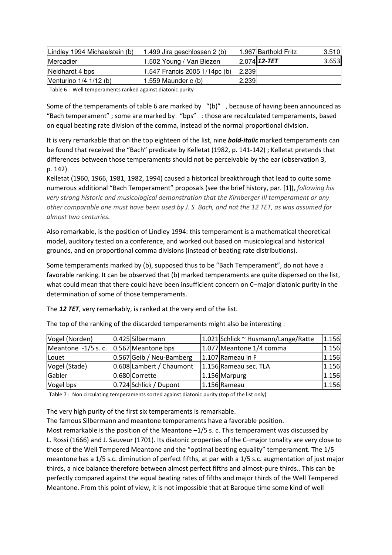| Lindley 1994 Michaelstein (b) | 1.499 Jira geschlossen 2 (b)  |         | 1.967 Barthold Fritz | 3.510 |
|-------------------------------|-------------------------------|---------|----------------------|-------|
| <b>IMercadier</b>             | 1.502 Young / Van Biezen      |         | $2.074$ 12-TET       | 3.653 |
| Neidhardt 4 bps               | 1.547 Francis 2005 1/14pc (b) | 2.239   |                      |       |
| Venturino $1/4$ $1/12$ (b)    | 1.559 Maunder $c(b)$          | 12.2391 |                      |       |

Table 6 : Well temperaments ranked against diatonic purity

Some of the temperaments of table 6 are marked by "(b)" , because of having been announced as "Bach temperament" ; some are marked by "bps" : those are recalculated temperaments, based on equal beating rate division of the comma, instead of the normal proportional division.

It is very remarkable that on the top eighteen of the list, nine *bold-italic* marked temperaments can be found that received the "Bach" predicate by Kelletat (1982, p. 141-142) ; Kelletat pretends that differences between those temperaments should not be perceivable by the ear (observation 3, p. 142).

Kelletat (1960, 1966, 1981, 1982, 1994) caused a historical breakthrough that lead to quite some numerous additional "Bach Temperament" proposals (see the brief history, par. [1]), *following his very strong historic and musicological demonstration that the Kirnberger III temperament or any other comparable one must have been used by J. S. Bach, and not the 12 TET, as was assumed for almost two centuries.* 

Also remarkable, is the position of Lindley 1994: this temperament is a mathematical theoretical model, auditory tested on a conference, and worked out based on musicological and historical grounds, and on proportional comma divisions (instead of beating rate distributions).

Some temperaments marked by (b), supposed thus to be "Bach Temperament", do not have a favorable ranking. It can be observed that (b) marked temperaments are quite dispersed on the list, what could mean that there could have been insufficient concern on C–major diatonic purity in the determination of some of those temperaments.

The *12 TET*, very remarkably, is ranked at the very end of the list.

| Vogel (Norden)      | 0.425 Silbermann         | $\vert$ 1.021 Schlick ~ Husmann/Lange/Ratte | 1.156 |
|---------------------|--------------------------|---------------------------------------------|-------|
| Meantone -1/5 s. c. | 0.567 Meantone bps       | 1.077 Meantone 1/4 comma                    | 1.156 |
| Louet               | 0.567 Geib / Neu-Bamberg | $1.107$ Rameau in F                         | 1.156 |
| Vogel (Stade)       | 0.608 Lambert / Chaumont | 1.156 Rameau sec. TLA                       | 1.156 |
| Gabler              | 0.680 Corrette           | 1.156 Marpurg                               | 1.156 |
| Vogel bps           | 0.724 Schlick / Dupont   | 1.156 Rameau                                | 1.156 |

The top of the ranking of the discarded temperaments might also be interesting :

Table 7 : Non circulating temperaments sorted against diatonic purity (top of the list only)

The very high purity of the first six temperaments is remarkable.

The famous Silbermann and meantone temperaments have a favorable position.

Most remarkable is the position of the Meantone  $-1/5$  s. c. This temperament was discussed by L. Rossi (1666) and J. Sauveur (1701). Its diatonic properties of the C–major tonality are very close to those of the Well Tempered Meantone and the "optimal beating equality" temperament. The 1/5 meantone has a 1/5 s.c. diminution of perfect fifths, at par with a 1/5 s.c. augmentation of just major thirds, a nice balance therefore between almost perfect fifths and almost-pure thirds.. This can be perfectly compared against the equal beating rates of fifths and major thirds of the Well Tempered Meantone. From this point of view, it is not impossible that at Baroque time some kind of well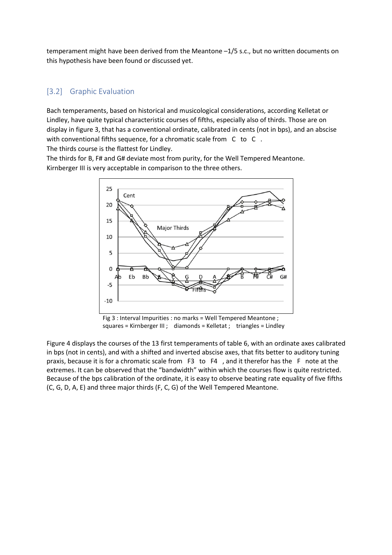temperament might have been derived from the Meantone –1/5 s.c., but no written documents on this hypothesis have been found or discussed yet.

### [3.2] Graphic Evaluation

Bach temperaments, based on historical and musicological considerations, according Kelletat or Lindley, have quite typical characteristic courses of fifths, especially also of thirds. Those are on display in figure 3, that has a conventional ordinate, calibrated in cents (not in bps), and an abscise with conventional fifths sequence, for a chromatic scale from C to C. The thirds course is the flattest for Lindley.

The thirds for B, F# and G# deviate most from purity, for the Well Tempered Meantone.

Kirnberger III is very acceptable in comparison to the three others.



Fig 3 : Interval Impurities : no marks = Well Tempered Meantone ; squares = Kirnberger III ; diamonds = Kelletat ; triangles = Lindley

Figure 4 displays the courses of the 13 first temperaments of table 6, with an ordinate axes calibrated in bps (not in cents), and with a shifted and inverted abscise axes, that fits better to auditory tuning praxis, because it is for a chromatic scale from F3 to F4 , and it therefor has the F note at the extremes. It can be observed that the "bandwidth" within which the courses flow is quite restricted. Because of the bps calibration of the ordinate, it is easy to observe beating rate equality of five fifths (C, G, D, A, E) and three major thirds (F, C, G) of the Well Tempered Meantone.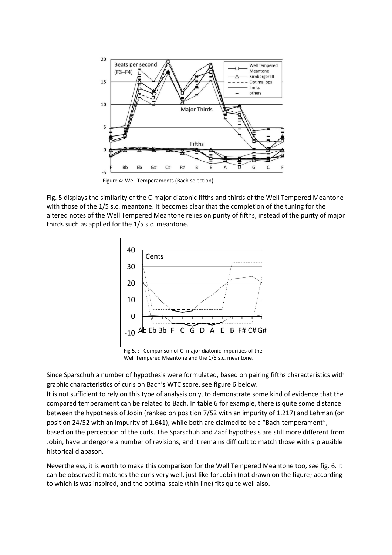

Figure 4: Well Temperaments (Bach selection)

Fig. 5 displays the similarity of the C-major diatonic fifths and thirds of the Well Tempered Meantone with those of the 1/5 s.c. meantone. It becomes clear that the completion of the tuning for the altered notes of the Well Tempered Meantone relies on purity of fifths, instead of the purity of major thirds such as applied for the 1/5 s.c. meantone.



Fig 5. : Comparison of C–major diatonic impurities of the Well Tempered Meantone and the 1/5 s.c. meantone.

Since Sparschuh a number of hypothesis were formulated, based on pairing fifths characteristics with graphic characteristics of curls on Bach's WTC score, see figure 6 below.

It is not sufficient to rely on this type of analysis only, to demonstrate some kind of evidence that the compared temperament can be related to Bach. In table 6 for example, there is quite some distance between the hypothesis of Jobin (ranked on position 7/52 with an impurity of 1.217) and Lehman (on position 24/52 with an impurity of 1.641), while both are claimed to be a "Bach-temperament", based on the perception of the curls. The Sparschuh and Zapf hypothesis are still more different from Jobin, have undergone a number of revisions, and it remains difficult to match those with a plausible historical diapason.

Nevertheless, it is worth to make this comparison for the Well Tempered Meantone too, see fig. 6. It can be observed it matches the curls very well, just like for Jobin (not drawn on the figure} according to which is was inspired, and the optimal scale (thin line) fits quite well also.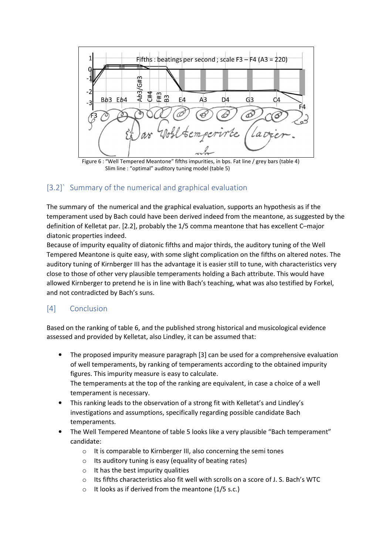

Figure 6 : "Well Tempered Meantone" fifths impurities, in bps. Fat line / grey bars (table 4) Slim line : "optimal" auditory tuning model (table 5)

# [3.2] Summary of the numerical and graphical evaluation

The summary of the numerical and the graphical evaluation, supports an hypothesis as if the temperament used by Bach could have been derived indeed from the meantone, as suggested by the definition of Kelletat par. [2.2], probably the 1/5 comma meantone that has excellent C–major diatonic properties indeed.

Because of impurity equality of diatonic fifths and major thirds, the auditory tuning of the Well Tempered Meantone is quite easy, with some slight complication on the fifths on altered notes. The auditory tuning of Kirnberger III has the advantage it is easier still to tune, with characteristics very close to those of other very plausible temperaments holding a Bach attribute. This would have allowed Kirnberger to pretend he is in line with Bach's teaching, what was also testified by Forkel, and not contradicted by Bach's suns.

# [4] Conclusion

Based on the ranking of table 6, and the published strong historical and musicological evidence assessed and provided by Kelletat, also Lindley, it can be assumed that:

- The proposed impurity measure paragraph [3] can be used for a comprehensive evaluation of well temperaments, by ranking of temperaments according to the obtained impurity figures. This impurity measure is easy to calculate. The temperaments at the top of the ranking are equivalent, in case a choice of a well temperament is necessary.
- This ranking leads to the observation of a strong fit with Kelletat's and Lindley's investigations and assumptions, specifically regarding possible candidate Bach temperaments.
- The Well Tempered Meantone of table 5 looks like a very plausible "Bach temperament" candidate:
	- o It is comparable to Kirnberger III, also concerning the semi tones
	- $\circ$  Its auditory tuning is easy (equality of beating rates)
	- $\circ$  It has the best impurity qualities
	- o Its fifths characteristics also fit well with scrolls on a score of J. S. Bach's WTC
	- $\circ$  It looks as if derived from the meantone (1/5 s.c.)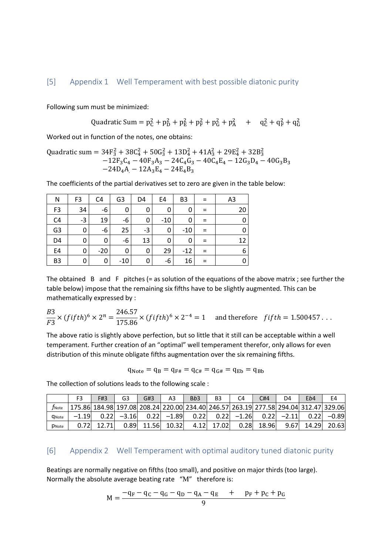Following sum must be minimized:

Quadratic Sum = 
$$
p_C^2 + p_D^2 + p_E^2 + p_F^2 + p_G^2 + p_A^2
$$
 +  $q_C^2 + q_F^2 + q_G^2$ 

Worked out in function of the notes, one obtains:

Quadratic sum = 
$$
34F_3^2 + 38C_4^2 + 50G_3^2 + 13D_4^2 + 41A_3^2 + 29E_4^2 + 32B_3^2
$$
  
- $12F_3C_4 - 40F_3A_3 - 24C_4G_3 - 40C_4E_4 - 12G_3D_4 - 40G_3B_3$   
- $24D_4A - 12A_3E_4 - 24E_4B_3$ 

The coefficients of the partial derivatives set to zero are given in the table below:

| N              | F <sub>3</sub> | C4    | G <sub>3</sub> | D4 | E4    | B <sub>3</sub> |     | A <sub>3</sub> |
|----------------|----------------|-------|----------------|----|-------|----------------|-----|----------------|
| F <sub>3</sub> | 34             | -6    | 0              | 0  | 0     | 0              |     | 20             |
| C <sub>4</sub> | $-3$           | 19    | -6             | 0  | $-10$ | 0              |     |                |
| G3             | 0              | $-6$  | 25             | -3 | 0     | $-10$          |     |                |
| D <sub>4</sub> | 0              | 0     | -6             | 13 | 0     | 0              |     | 12             |
| E4             | 0              | $-20$ | 0              | 0  | 29    | $-12$          | $=$ | 6              |
| B <sub>3</sub> | 0              | 0     | -10            | 0  | -6    | 16             |     |                |

The obtained  $\,$  B and  $\,$  F  $\,$  pitches (= as solution of the equations of the above matrix ; see further the table below) impose that the remaining six fifths have to be slightly augmented. This can be mathematically expressed by :

$$
\frac{B3}{F3} \times (fifth)^6 \times 2^n = \frac{246.57}{175.86} \times (fifth)^6 \times 2^{-4} = 1
$$
 and therefore  $fifth = 1.500457...$ 

The above ratio is slightly above perfection, but so little that it still can be acceptable within a well temperament. Further creation of an "optimal" well temperament therefor, only allows for even distribution of this minute obligate fifths augmentation over the six remaining fifths.

$$
q_{\text{Note}} = q_{\text{B}} = q_{\text{F#}} = q_{\text{C#}} = q_{\text{G#}} = q_{\text{Eb}} = q_{\text{Bb}}
$$

The collection of solutions leads to the following scale :

|                     | F3 | F#3 | G3             | G#3   | A3                                                                                  | B <sub>b</sub> 3 | B <sub>3</sub> |                       | $\mathcal{L}_{H}$ | D4             | Eb4        | E4           |
|---------------------|----|-----|----------------|-------|-------------------------------------------------------------------------------------|------------------|----------------|-----------------------|-------------------|----------------|------------|--------------|
| $f_{\mathsf{Note}}$ |    |     |                |       | 175.86 184.98 197.08 208.24 220.00 234.40 246.57 263.19 277.58 294.04 312.47 329.06 |                  |                |                       |                   |                |            |              |
| <b>C</b> Note       |    |     | $0.22$ $-3.16$ |       | $0.22$ $-1.89$                                                                      |                  |                | $0.22$ $0.22$ $-1.26$ |                   | $0.22$ $-2.11$ |            | $0.22$ -0.89 |
| <b>D</b> Note       |    |     | 0.89           | 11.56 | 10.32                                                                               |                  | 4.12 17.02     | 0.28                  | 18.96             |                | 9.67 14.29 | 20.63        |

#### [6] Appendix 2 Well Temperament with optimal auditory tuned diatonic purity

Beatings are normally negative on fifths (too small), and positive on major thirds (too large). Normally the absolute average beating rate "M" therefore is:

$$
M = \frac{-q_F - q_C - q_G - q_D - q_A - q_E + p_F + p_C + p_G}{9}
$$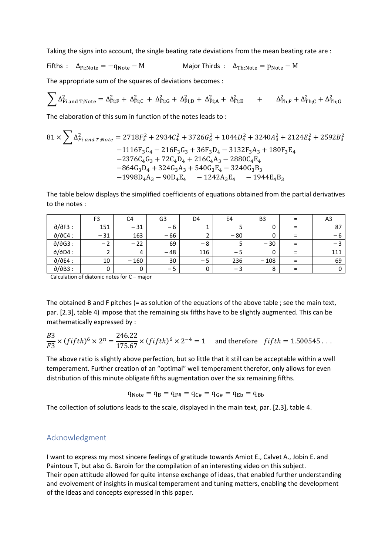Taking the signs into account, the single beating rate deviations from the mean beating rate are :

Fifths :  $\Delta_{Fi;Note} = -q_{Note} - M$  Major Thirds :  $\Delta_{Th;Note} = p_{Note} - M$ 

The appropriate sum of the squares of deviations becomes :

$$
\sum \Delta_{Fi\, and \, T; Note}^2 = \Delta_{Fi;F}^2 + \Delta_{Fi;C}^2\, +\, \Delta_{Fi;G}^2 + \, \Delta_{Fi;D}^2 + \, \Delta_{Fi;A}^2 + \, \Delta_{Fi;E}^2 \qquad + \qquad \Delta_{Th;F}^2 + \Delta_{Th;C}^2 + \Delta_{Th;G}^2
$$

The elaboration of this sum in function of the notes leads to :

$$
81 \times \sum \Delta_{Fi\ and\ T; Note}^2 = 2718F_3^2 + 2934C_4^2 + 3726G_3^2 + 1044D_4^2 + 3240A_3^2 + 2124E_4^2 + 2592B_3^2
$$
  
\n
$$
-1116F_3C_4 - 216F_3G_3 + 36F_3D_4 - 3132F_3A_3 + 180F_3E_4
$$
  
\n
$$
-2376C_4G_3 + 72C_4D_4 + 216C_4A_3 - 2880C_4E_4
$$
  
\n
$$
-864G_3D_4 + 324G_3A_3 + 540G_3E_4 - 3240G_3B_3
$$
  
\n
$$
-1998D_4A_3 - 90D_4E_4 - 1242A_3E_4 - 1944E_4B_3
$$

The table below displays the simplified coefficients of equations obtained from the partial derivatives to the notes :

|                | F <sub>3</sub> | C4     | G <sub>3</sub> | D4   | E4    | B <sub>3</sub> |   | A3  |
|----------------|----------------|--------|----------------|------|-------|----------------|---|-----|
| $d/dF3$ :      | 151            | $-31$  | $-6$           |      |       |                | Ξ | 87  |
| $d/dC4$ :      | $-31$          | 163    | $-66$          |      | $-80$ |                |   | – ხ |
| $d/dG3$ :      | $-$            | $-22$  | 69             | -8   |       | $-30$          |   |     |
| $d/dD4$ :      |                | 4      | $-48$          | 116  | - 5   |                | ⋍ | 111 |
| $d/dE4$ :      | 10             | $-160$ | 30             | $-5$ | 236   | $-108$         |   | 69  |
| $d/\delta$ B3: |                |        | $-5$           | 0    | $-3$  | 8              |   |     |

Calculation of diatonic notes for C – major

The obtained B and F pitches (= as solution of the equations of the above table ; see the main text, par. [2.3], table 4) impose that the remaining six fifths have to be slightly augmented. This can be mathematically expressed by :

$$
\frac{B3}{F3} \times (fifth)^6 \times 2^n = \frac{246.22}{175.67} \times (fifth)^6 \times 2^{-4} = 1
$$
 and therefore  $fifth = 1.500545...$ 

The above ratio is slightly above perfection, but so little that it still can be acceptable within a well temperament. Further creation of an "optimal" well temperament therefor, only allows for even distribution of this minute obligate fifths augmentation over the six remaining fifths.

$$
q_{\rm Note} = q_{\rm B} = q_{F\#} = q_{C\#} = q_{G\#} = q_{\rm Eb} = q_{\rm Bb}
$$

The collection of solutions leads to the scale, displayed in the main text, par. [2.3], table 4.

#### Acknowledgment

I want to express my most sincere feelings of gratitude towards Amiot E., Calvet A., Jobin E. and Paintoux T, but also G. Baroin for the compilation of an interesting video on this subject. Their open attitude allowed for quite intense exchange of ideas, that enabled further understanding and evolvement of insights in musical temperament and tuning matters, enabling the development of the ideas and concepts expressed in this paper.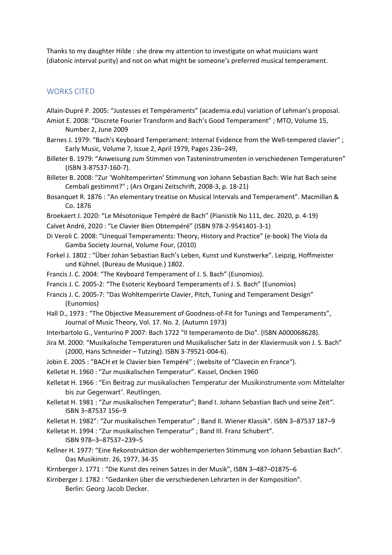Thanks to my daughter Hilde : she drew my attention to investigate on what musicians want (diatonic interval purity) and not on what might be someone's preferred musical temperament.

#### WORKS CITED

- Allain-Dupré P. 2005: "Justesses et Tempéraments" (academia.edu) variation of Lehman's proposal.
- Amiot E. 2008: "Discrete Fourier Transform and Bach's Good Temperament" ; MTO, Volume 15, Number 2, June 2009
- Barnes J. 1979: "Bach's Keyboard Temperament: Internal Evidence from the Well-tempered clavier" ; Early Music, Volume 7, Issue 2, April 1979, Pages 236–249,
- Billeter B. 1979: "Anweisung zum Stimmen von Tasteninstrumenten in verschiedenen Temperaturen" (ISBN 3-87537-160-7).
- Billeter B. 2008: "Zur 'Wohltemperirten' Stimmung von Johann Sebastian Bach: Wie hat Bach seine Cembali gestimmt?" ; (Ars Organi Zeitschrift, 2008-3, p. 18-21)
- Bosanquet R. 1876 : "An elementary treatise on Musical Intervals and Temperament". Macmillan & Co. 1876
- Broekaert J. 2020: "Le Mésotonique Tempéré de Bach" (Pianistik No 111, dec. 2020, p. 4-19)
- Calvet André, 2020 : "Le Clavier Bien Obtempéré" (ISBN 978-2-9541401-3-1)
- Di Veroli C. 2008: "Unequal Temperaments: Theory, History and Practice" (e-book) The Viola da Gamba Society Journal, Volume Four, (2010)
- Forkel J. 1802 : "Über Johan Sebastian Bach's Leben, Kunst und Kunstwerke". Leipzig, Hoffmeister und Kühnel. (Bureau de Musique.) 1802.
- Francis J. C. 2004: "The Keyboard Temperament of J. S. Bach" (Eunomios).
- Francis J. C. 2005-2: "The Esoteric Keyboard Temperaments of J. S. Bach" (Eunomios)
- Francis J. C. 2005-7: "Das Wohltemperirte Clavier, Pitch, Tuning and Temperament Design" (Eunomios)
- Hall D., 1973 : "The Objective Measurement of Goodness-of-Fit for Tunings and Temperaments", Journal of Music Theory, Vol. 17. No. 2. (Autumn 1973)
- Interbartolo G., Venturino P 2007: Bach 1722 "Il temperamento de Dio". {ISBN A000068628).
- Jira M. 2000: "Musikalische Temperaturen und Musikalischer Satz in der Klaviermusik von J. S. Bach" (2000, Hans Schneider – Tutzing}. ISBN 3-79521-004-6).
- Jobin E. 2005 : "BACH et le Clavier bien Tempéré" ; (website of "Clavecin en France").
- Kelletat H. 1960 : "Zur musikalischen Temperatur". Kassel, Oncken 1960
- Kelletat H. 1966 : "Ein Beitrag zur musikalischen Temperatur der Musikinstrumente vom Mittelalter bis zur Gegenwart". Reutlingen,
- Kelletat H. 1981 : "Zur musikalischen Temperatur"; Band I. Johann Sebastian Bach und seine Zeit". ISBN 3–87537 156–9
- Kelletat H. 1982": "Zur musikalischen Temperatur" ; Band II. Wiener Klassik". ISBN 3–87537 187–9
- Kelletat H. 1994 : "Zur musikalischen Temperatur" ; Band III. Franz Schubert". ISBN 978–3–87537–239–5
- Kellner H. 1977: "Eine Rekonstruktion der wohltemperierten Stimmung von Johann Sebastian Bach". Das Musikinstr. 26, 1977, 34-35
- Kirnberger J. 1771 : "Die Kunst des reinen Satzes in der Musik", ISBN 3–487–01875–6
- Kirnberger J. 1782 : "Gedanken über die verschiedenen Lehrarten in der Komposition". Berlin: Georg Jacob Decker.